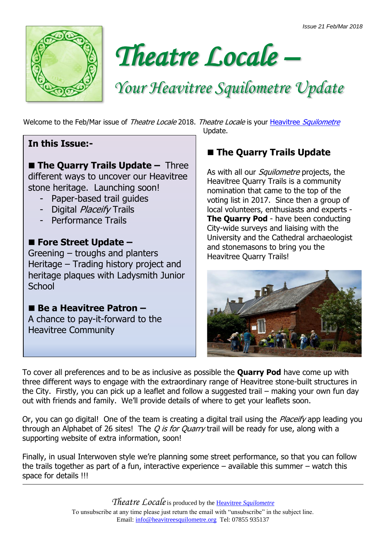



# *Your Heavitree Squilometre Update*

Welcome to the Feb/Mar issue of Theatre Locale 2018. Theatre Locale is your Heavitree [Squilometre](http://www.heavitreesquilometre.org/)

#### **In this Issue:-**

 **The Quarry Trails Update –** Three different ways to uncover our Heavitree stone heritage. Launching soon!

- Paper-based trail guides
- Digital Placeify Trails
- Performance Trails

#### **Fore Street Update –**

Greening – troughs and planters Heritage – Trading history project and heritage plaques with Ladysmith Junior **School** 

■ Be a Heavitree Patron – A chance to pay-it-forward to the Heavitree Community

Update.

### $\blacksquare$  **The Quarry Trails Update**

As with all our *Squilometre* projects, the Heavitree Quarry Trails is a community nomination that came to the top of the voting list in 2017. Since then a group of local volunteers, enthusiasts and experts - **The Quarry Pod** - have been conducting City-wide surveys and liaising with the University and the Cathedral archaeologist and stonemasons to bring you the Heavitree Quarry Trails!



To cover all preferences and to be as inclusive as possible the **Quarry Pod** have come up with three different ways to engage with the extraordinary range of Heavitree stone-built structures in the City. Firstly, you can pick up a leaflet and follow a suggested trail – making your own fun day out with friends and family. We'll provide details of where to get your leaflets soon.

Or, you can go digital! One of the team is creating a digital trail using the *Placeify* app leading you through an Alphabet of 26 sites! The  $Q$  is for Quarry trail will be ready for use, along with a supporting website of extra information, soon!

Finally, in usual Interwoven style we're planning some street performance, so that you can follow the trails together as part of a fun, interactive experience – available this summer – watch this space for details !!!